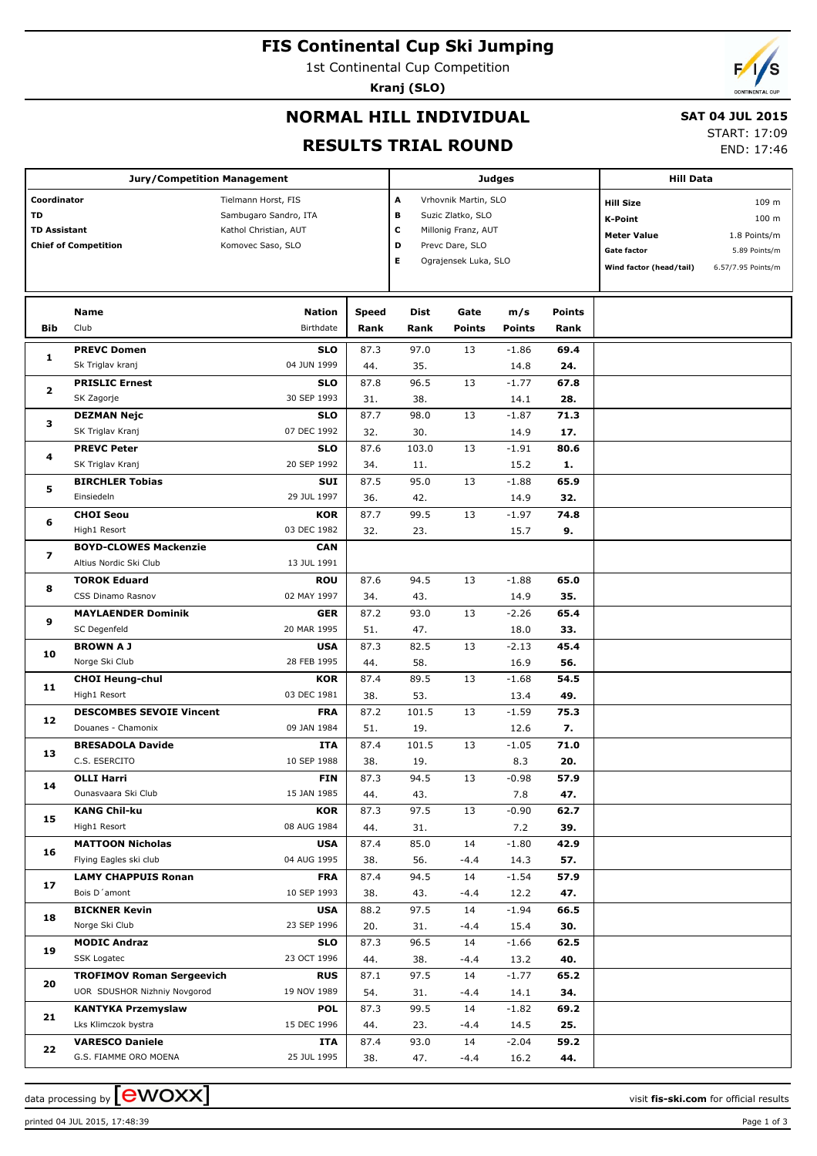# **FIS Continental Cup Ski Jumping**

1st Continental Cup Competition

**Kranj (SLO)**

# **NORMAL HILL INDIVIDUAL**

## **SAT 04 JUL 2015**

## **RESULTS TRIAL ROUND**

START: 17:09

END: 17:46

|                                                                         | <b>Jury/Competition Management</b>                   |                                                                                            |               | <b>Judges</b>                                                                                                                        |                       | <b>Hill Data</b>     |                |                                                                                                    |                                                                       |
|-------------------------------------------------------------------------|------------------------------------------------------|--------------------------------------------------------------------------------------------|---------------|--------------------------------------------------------------------------------------------------------------------------------------|-----------------------|----------------------|----------------|----------------------------------------------------------------------------------------------------|-----------------------------------------------------------------------|
| Coordinator<br>TD<br><b>TD Assistant</b><br><b>Chief of Competition</b> |                                                      | Tielmann Horst, FIS<br>Sambugaro Sandro, ITA<br>Kathol Christian, AUT<br>Komovec Saso, SLO |               | A<br>Vrhovnik Martin, SLO<br>в<br>Suzic Zlatko, SLO<br>с<br>Millonig Franz, AUT<br>D<br>Prevc Dare, SLO<br>Е<br>Ograjensek Luka, SLO |                       |                      |                | <b>Hill Size</b><br>K-Point<br><b>Meter Value</b><br><b>Gate factor</b><br>Wind factor (head/tail) | 109 m<br>100 m<br>1.8 Points/m<br>5.89 Points/m<br>6.57/7.95 Points/m |
| Bib                                                                     | Name<br>Club                                         | <b>Nation</b><br>Birthdate                                                                 | Speed<br>Rank | Dist<br>Rank                                                                                                                         | Gate<br><b>Points</b> | m/s<br><b>Points</b> | Points<br>Rank |                                                                                                    |                                                                       |
|                                                                         |                                                      |                                                                                            |               |                                                                                                                                      |                       |                      |                |                                                                                                    |                                                                       |
| 1                                                                       | <b>PREVC Domen</b><br>Sk Triglav kranj               | <b>SLO</b><br>04 JUN 1999                                                                  | 87.3          | 97.0                                                                                                                                 | 13                    | $-1.86$              | 69.4           |                                                                                                    |                                                                       |
|                                                                         | <b>PRISLIC Ernest</b>                                | <b>SLO</b>                                                                                 | 44.<br>87.8   | 35.<br>96.5                                                                                                                          | 13                    | 14.8<br>$-1.77$      | 24.<br>67.8    |                                                                                                    |                                                                       |
| 2                                                                       | SK Zagorje                                           | 30 SEP 1993                                                                                | 31.           | 38.                                                                                                                                  |                       | 14.1                 | 28.            |                                                                                                    |                                                                       |
|                                                                         | <b>DEZMAN Nejc</b>                                   | <b>SLO</b>                                                                                 | 87.7          | 98.0                                                                                                                                 | 13                    | $-1.87$              | 71.3           |                                                                                                    |                                                                       |
| з                                                                       | SK Triglav Kranj                                     | 07 DEC 1992                                                                                | 32.           | 30.                                                                                                                                  |                       | 14.9                 | 17.            |                                                                                                    |                                                                       |
|                                                                         | <b>PREVC Peter</b>                                   | <b>SLO</b>                                                                                 | 87.6          | 103.0                                                                                                                                | 13                    | $-1.91$              | 80.6           |                                                                                                    |                                                                       |
| 4                                                                       | SK Triglav Kranj                                     | 20 SEP 1992                                                                                | 34.           | 11.                                                                                                                                  |                       | 15.2                 | 1.             |                                                                                                    |                                                                       |
|                                                                         | <b>BIRCHLER Tobias</b>                               | SUI                                                                                        | 87.5          | 95.0                                                                                                                                 | 13                    | $-1.88$              | 65.9           |                                                                                                    |                                                                       |
| 5                                                                       | Einsiedeln                                           | 29 JUL 1997                                                                                | 36.           | 42.                                                                                                                                  |                       | 14.9                 | 32.            |                                                                                                    |                                                                       |
|                                                                         | <b>CHOI Seou</b>                                     | <b>KOR</b>                                                                                 | 87.7          | 99.5                                                                                                                                 | 13                    | $-1.97$              | 74.8           |                                                                                                    |                                                                       |
| 6                                                                       | High1 Resort                                         | 03 DEC 1982                                                                                | 32.           | 23.                                                                                                                                  |                       | 15.7                 | 9.             |                                                                                                    |                                                                       |
|                                                                         | <b>BOYD-CLOWES Mackenzie</b>                         | <b>CAN</b>                                                                                 |               |                                                                                                                                      |                       |                      |                |                                                                                                    |                                                                       |
| 7                                                                       | Altius Nordic Ski Club                               | 13 JUL 1991                                                                                |               |                                                                                                                                      |                       |                      |                |                                                                                                    |                                                                       |
|                                                                         | <b>TOROK Eduard</b>                                  | <b>ROU</b>                                                                                 | 87.6          | 94.5                                                                                                                                 | 13                    | $-1.88$              | 65.0           |                                                                                                    |                                                                       |
| 8                                                                       | <b>CSS Dinamo Rasnov</b>                             | 02 MAY 1997                                                                                | 34.           | 43.                                                                                                                                  |                       | 14.9                 | 35.            |                                                                                                    |                                                                       |
|                                                                         | <b>MAYLAENDER Dominik</b>                            | <b>GER</b>                                                                                 | 87.2          | 93.0                                                                                                                                 | 13                    | $-2.26$              | 65.4           |                                                                                                    |                                                                       |
| 9                                                                       | SC Degenfeld                                         | 20 MAR 1995                                                                                | 51.           | 47.                                                                                                                                  |                       | 18.0                 | 33.            |                                                                                                    |                                                                       |
| 10<br>11                                                                | <b>BROWN A J</b>                                     | <b>USA</b>                                                                                 | 87.3          | 82.5                                                                                                                                 | 13                    | $-2.13$              | 45.4           |                                                                                                    |                                                                       |
|                                                                         | Norge Ski Club                                       | 28 FEB 1995                                                                                | 44.           | 58.                                                                                                                                  |                       | 16.9                 | 56.            |                                                                                                    |                                                                       |
|                                                                         | <b>CHOI Heung-chul</b>                               | <b>KOR</b>                                                                                 | 87.4          | 89.5                                                                                                                                 | 13                    | $-1.68$              | 54.5           |                                                                                                    |                                                                       |
|                                                                         | High1 Resort                                         | 03 DEC 1981                                                                                | 38.           | 53.                                                                                                                                  |                       | 13.4                 | 49.            |                                                                                                    |                                                                       |
| 12                                                                      | <b>DESCOMBES SEVOIE Vincent</b>                      | <b>FRA</b>                                                                                 | 87.2          | 101.5                                                                                                                                | 13                    | $-1.59$              | 75.3           |                                                                                                    |                                                                       |
|                                                                         | Douanes - Chamonix                                   | 09 JAN 1984                                                                                | 51.           | 19.                                                                                                                                  |                       | 12.6                 | 7.             |                                                                                                    |                                                                       |
| 13                                                                      | <b>BRESADOLA Davide</b>                              | ITA                                                                                        | 87.4          | 101.5                                                                                                                                | 13                    | $-1.05$              | 71.0           |                                                                                                    |                                                                       |
|                                                                         | C.S. ESERCITO                                        | 10 SEP 1988                                                                                | 38.           | 19.                                                                                                                                  |                       | 8.3                  | 20.            |                                                                                                    |                                                                       |
| 14                                                                      | OLLI Harri                                           | <b>FIN</b>                                                                                 | 87.3          | 94.5                                                                                                                                 | 13                    | $-0.98$              | 57.9           |                                                                                                    |                                                                       |
|                                                                         | Ounasvaara Ski Club                                  | 15 JAN 1985                                                                                | 44.           | 43.                                                                                                                                  |                       | 7.8                  | 47.            |                                                                                                    |                                                                       |
| 15                                                                      | <b>KANG Chil-ku</b>                                  | <b>KOR</b>                                                                                 | 87.3          | 97.5                                                                                                                                 | 13                    | $-0.90$              | 62.7           |                                                                                                    |                                                                       |
|                                                                         | High1 Resort                                         | 08 AUG 1984                                                                                | 44.           | 31.                                                                                                                                  |                       | 7.2                  | 39.            |                                                                                                    |                                                                       |
| 16                                                                      | <b>MATTOON Nicholas</b>                              | <b>USA</b><br>04 AUG 1995                                                                  | 87.4          | 85.0                                                                                                                                 | 14                    | $-1.80$              | 42.9           |                                                                                                    |                                                                       |
|                                                                         | Flying Eagles ski club<br><b>LAMY CHAPPUIS Ronan</b> |                                                                                            | 38.           | 56.                                                                                                                                  | -4.4<br>14            | 14.3                 | 57.            |                                                                                                    |                                                                       |
| 17                                                                      | Bois D'amont                                         | <b>FRA</b><br>10 SEP 1993                                                                  | 87.4<br>38.   | 94.5<br>43.                                                                                                                          | $-4.4$                | $-1.54$<br>12.2      | 57.9<br>47.    |                                                                                                    |                                                                       |
|                                                                         | <b>BICKNER Kevin</b>                                 | <b>USA</b>                                                                                 | 88.2          | 97.5                                                                                                                                 | 14                    | $-1.94$              | 66.5           |                                                                                                    |                                                                       |
| 18                                                                      | Norge Ski Club                                       | 23 SEP 1996                                                                                | 20.           | 31.                                                                                                                                  | $-4.4$                | 15.4                 | 30.            |                                                                                                    |                                                                       |
|                                                                         | <b>MODIC Andraz</b>                                  | <b>SLO</b>                                                                                 | 87.3          | 96.5                                                                                                                                 | 14                    | $-1.66$              | 62.5           |                                                                                                    |                                                                       |
| 19                                                                      | SSK Logatec                                          | 23 OCT 1996                                                                                | 44.           | 38.                                                                                                                                  | -4.4                  | 13.2                 | 40.            |                                                                                                    |                                                                       |
|                                                                         | <b>TROFIMOV Roman Sergeevich</b>                     | <b>RUS</b>                                                                                 | 87.1          | 97.5                                                                                                                                 | 14                    | $-1.77$              | 65.2           |                                                                                                    |                                                                       |
| 20                                                                      | UOR SDUSHOR Nizhniy Novgorod                         | 19 NOV 1989                                                                                | 54.           | 31.                                                                                                                                  | $-4.4$                | 14.1                 | 34.            |                                                                                                    |                                                                       |
|                                                                         | <b>KANTYKA Przemyslaw</b>                            | <b>POL</b>                                                                                 | 87.3          | 99.5                                                                                                                                 | 14                    | $-1.82$              | 69.2           |                                                                                                    |                                                                       |
| 21                                                                      | Lks Klimczok bystra                                  | 15 DEC 1996                                                                                | 44.           | 23.                                                                                                                                  | -4.4                  | 14.5                 | 25.            |                                                                                                    |                                                                       |
|                                                                         | <b>VARESCO Daniele</b>                               | ITA                                                                                        | 87.4          | 93.0                                                                                                                                 | 14                    | $-2.04$              | 59.2           |                                                                                                    |                                                                       |
| 22                                                                      | G.S. FIAMME ORO MOENA                                | 25 JUL 1995                                                                                | 38.           | 47.                                                                                                                                  | $-4.4$                | 16.2                 | 44.            |                                                                                                    |                                                                       |

data processing by **CWOXX** and  $\overline{C}$  and  $\overline{C}$  and  $\overline{C}$  and  $\overline{C}$  and  $\overline{C}$  and  $\overline{C}$  and  $\overline{C}$  and  $\overline{C}$  and  $\overline{C}$  and  $\overline{C}$  and  $\overline{C}$  and  $\overline{C}$  and  $\overline{C}$  and  $\overline{C}$  and  $\overline{C}$ 

printed 04 JUL 2015, 17:48:39 Page 1 of 3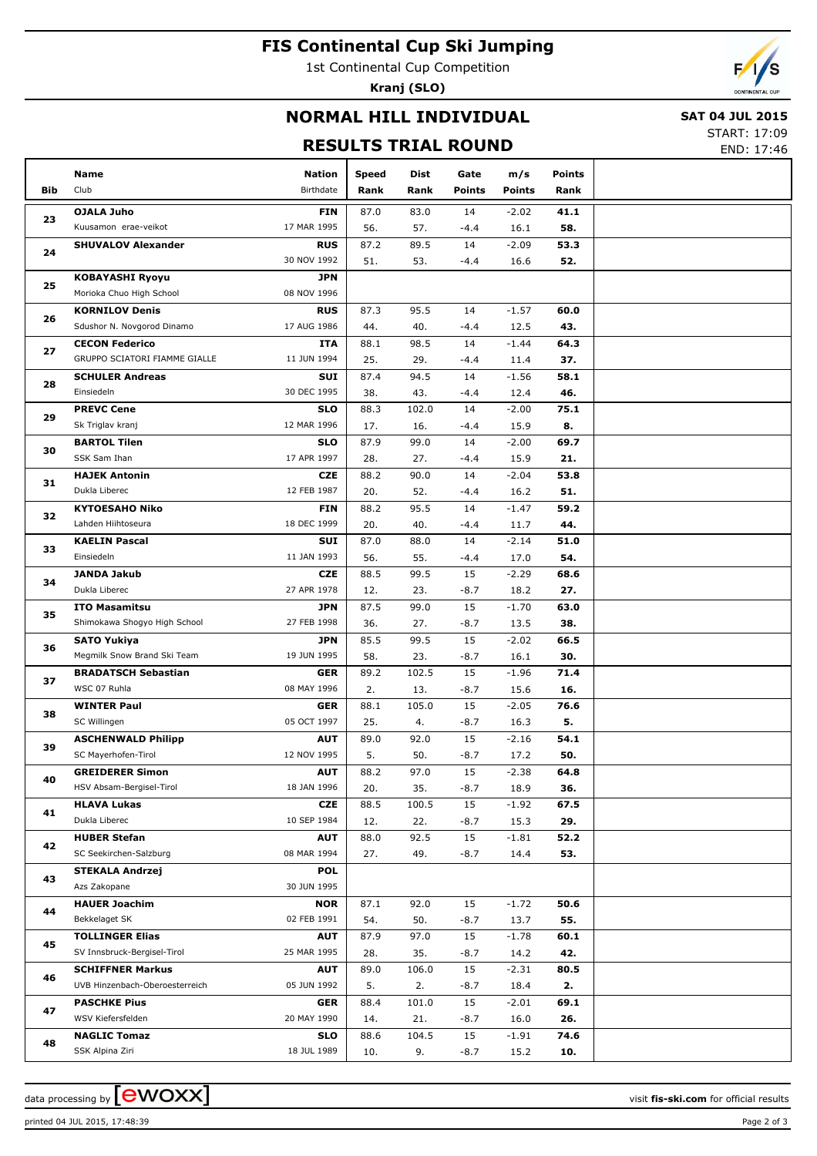# **FIS Continental Cup Ski Jumping**

1st Continental Cup Competition

**Kranj (SLO)**



## **NORMAL HILL INDIVIDUAL**

## **SAT 04 JUL 2015**

**RESULTS TRIAL ROUND**

| START: 17:09 |  |
|--------------|--|
|--------------|--|

END: 17:46

|            | Name                                          | Nation                    | Speed       | Dist        | Gate         | m/s             | Points      |  |
|------------|-----------------------------------------------|---------------------------|-------------|-------------|--------------|-----------------|-------------|--|
| <b>Bib</b> | Club                                          | Birthdate                 | Rank        | Rank        | Points       | <b>Points</b>   | Rank        |  |
|            | <b>OJALA Juho</b>                             | <b>FIN</b>                | 87.0        | 83.0        | 14           | $-2.02$         | 41.1        |  |
| 23         | Kuusamon erae-veikot                          | 17 MAR 1995               | 56.         | 57.         | $-4.4$       | 16.1            | 58.         |  |
|            | <b>SHUVALOV Alexander</b>                     | <b>RUS</b>                | 87.2        | 89.5        | 14           | $-2.09$         | 53.3        |  |
| 24         |                                               | 30 NOV 1992               | 51.         | 53.         | $-4.4$       | 16.6            | 52.         |  |
| 25         | <b>KOBAYASHI Ryoyu</b>                        | <b>JPN</b>                |             |             |              |                 |             |  |
|            | Morioka Chuo High School                      | 08 NOV 1996               |             |             |              |                 |             |  |
| 26         | <b>KORNILOV Denis</b>                         | <b>RUS</b>                | 87.3        | 95.5        | 14           | $-1.57$         | 60.0        |  |
|            | Sdushor N. Novgorod Dinamo                    | 17 AUG 1986               | 44.         | 40.         | $-4.4$       | 12.5            | 43.         |  |
| 27         | <b>CECON Federico</b>                         | ITA                       | 88.1        | 98.5        | 14           | $-1.44$         | 64.3        |  |
|            | GRUPPO SCIATORI FIAMME GIALLE                 | 11 JUN 1994               | 25.         | 29.         | $-4.4$       | 11.4            | 37.         |  |
| 28         | <b>SCHULER Andreas</b>                        | <b>SUI</b>                | 87.4        | 94.5        | 14           | $-1.56$         | 58.1        |  |
|            | Einsiedeln                                    | 30 DEC 1995               | 38.         | 43.         | $-4.4$       | 12.4            | 46.         |  |
| 29         | <b>PREVC Cene</b>                             | <b>SLO</b>                | 88.3        | 102.0       | 14           | $-2.00$         | 75.1        |  |
|            | Sk Triglav kranj                              | 12 MAR 1996               | 17.         | 16.         | $-4.4$       | 15.9            | 8.          |  |
| 30         | <b>BARTOL Tilen</b><br>SSK Sam Ihan           | <b>SLO</b><br>17 APR 1997 | 87.9        | 99.0        | 14           | $-2.00$         | 69.7        |  |
|            |                                               |                           | 28.         | 27.         | $-4.4$       | 15.9            | 21.<br>53.8 |  |
| 31         | <b>HAJEK Antonin</b><br>Dukla Liberec         | <b>CZE</b><br>12 FEB 1987 | 88.2<br>20. | 90.0<br>52. | 14<br>$-4.4$ | $-2.04$<br>16.2 | 51.         |  |
|            | <b>KYTOESAHO Niko</b>                         | <b>FIN</b>                | 88.2        | 95.5        | 14           | $-1.47$         | 59.2        |  |
| 32         | Lahden Hiihtoseura                            | 18 DEC 1999               | 20.         | 40.         | $-4.4$       | 11.7            | 44.         |  |
|            | <b>KAELIN Pascal</b>                          | <b>SUI</b>                | 87.0        | 88.0        | 14           | $-2.14$         | 51.0        |  |
| 33         | Einsiedeln                                    | 11 JAN 1993               | 56.         | 55.         | $-4.4$       | 17.0            | 54.         |  |
|            | <b>JANDA Jakub</b>                            | <b>CZE</b>                | 88.5        | 99.5        | 15           | $-2.29$         | 68.6        |  |
| 34         | Dukla Liberec                                 | 27 APR 1978               | 12.         | 23.         | $-8.7$       | 18.2            | 27.         |  |
|            | <b>ITO Masamitsu</b>                          | <b>JPN</b>                | 87.5        | 99.0        | 15           | $-1.70$         | 63.0        |  |
| 35         | Shimokawa Shogyo High School                  | 27 FEB 1998               | 36.         | 27.         | $-8.7$       | 13.5            | 38.         |  |
|            | <b>SATO Yukiya</b>                            | <b>JPN</b>                | 85.5        | 99.5        | 15           | $-2.02$         | 66.5        |  |
| 36         | Megmilk Snow Brand Ski Team                   | 19 JUN 1995               | 58.         | 23.         | $-8.7$       | 16.1            | 30.         |  |
| 37         | <b>BRADATSCH Sebastian</b>                    | <b>GER</b>                | 89.2        | 102.5       | 15           | $-1.96$         | 71.4        |  |
|            | WSC 07 Ruhla                                  | 08 MAY 1996               | 2.          | 13.         | $-8.7$       | 15.6            | 16.         |  |
| 38         | <b>WINTER Paul</b>                            | <b>GER</b>                | 88.1        | 105.0       | 15           | $-2.05$         | 76.6        |  |
|            | SC Willingen                                  | 05 OCT 1997               | 25.         | 4.          | $-8.7$       | 16.3            | 5.          |  |
| 39         | <b>ASCHENWALD Philipp</b>                     | <b>AUT</b>                | 89.0        | 92.0        | 15           | $-2.16$         | 54.1        |  |
|            | SC Mayerhofen-Tirol                           | 12 NOV 1995               | 5.          | 50.         | $-8.7$       | 17.2            | 50.         |  |
| 40         | <b>GREIDERER Simon</b>                        | <b>AUT</b>                | 88.2        | 97.0        | 15           | $-2.38$         | 64.8        |  |
|            | HSV Absam-Bergisel-Tirol                      | 18 JAN 1996               | 20.         | 35.         | $-8.7$       | 18.9            | 36.         |  |
| 41         | <b>HLAVA Lukas</b>                            | <b>CZE</b>                | 88.5        | 100.5       | 15           | $-1.92$         | 67.5        |  |
|            | Dukla Liberec                                 | 10 SEP 1984               | 12.         | 22.         | $-8.7$       | 15.3            | 29.         |  |
| 42         | <b>HUBER Stefan</b><br>SC Seekirchen-Salzburg | <b>AUT</b><br>08 MAR 1994 | 88.0<br>27. | 92.5<br>49. | 15<br>$-8.7$ | $-1.81$<br>14.4 | 52.2<br>53. |  |
|            | <b>STEKALA Andrzej</b>                        | <b>POL</b>                |             |             |              |                 |             |  |
| 43         | Azs Zakopane                                  | 30 JUN 1995               |             |             |              |                 |             |  |
|            | <b>HAUER Joachim</b>                          | <b>NOR</b>                | 87.1        | 92.0        | 15           | $-1.72$         | 50.6        |  |
| 44         | Bekkelaget SK                                 | 02 FEB 1991               | 54.         | 50.         | $-8.7$       | 13.7            | 55.         |  |
|            | <b>TOLLINGER Elias</b>                        | <b>AUT</b>                | 87.9        | 97.0        | 15           | $-1.78$         | 60.1        |  |
| 45         | SV Innsbruck-Bergisel-Tirol                   | 25 MAR 1995               | 28.         | 35.         | $-8.7$       | 14.2            | 42.         |  |
|            | <b>SCHIFFNER Markus</b>                       | <b>AUT</b>                | 89.0        | 106.0       | 15           | $-2.31$         | 80.5        |  |
| 46         | UVB Hinzenbach-Oberoesterreich                | 05 JUN 1992               | 5.          | 2.          | $-8.7$       | 18.4            | 2.          |  |
|            | <b>PASCHKE Pius</b>                           | <b>GER</b>                | 88.4        | 101.0       | 15           | $-2.01$         | 69.1        |  |
| 47         | WSV Kiefersfelden                             | 20 MAY 1990               | 14.         | 21.         | $-8.7$       | 16.0            | 26.         |  |
|            | <b>NAGLIC Tomaz</b>                           | <b>SLO</b>                | 88.6        | 104.5       | 15           | $-1.91$         | 74.6        |  |
| 48         | SSK Alpina Ziri                               | 18 JUL 1989               | 10.         | 9.          | $-8.7$       | 15.2            | 10.         |  |